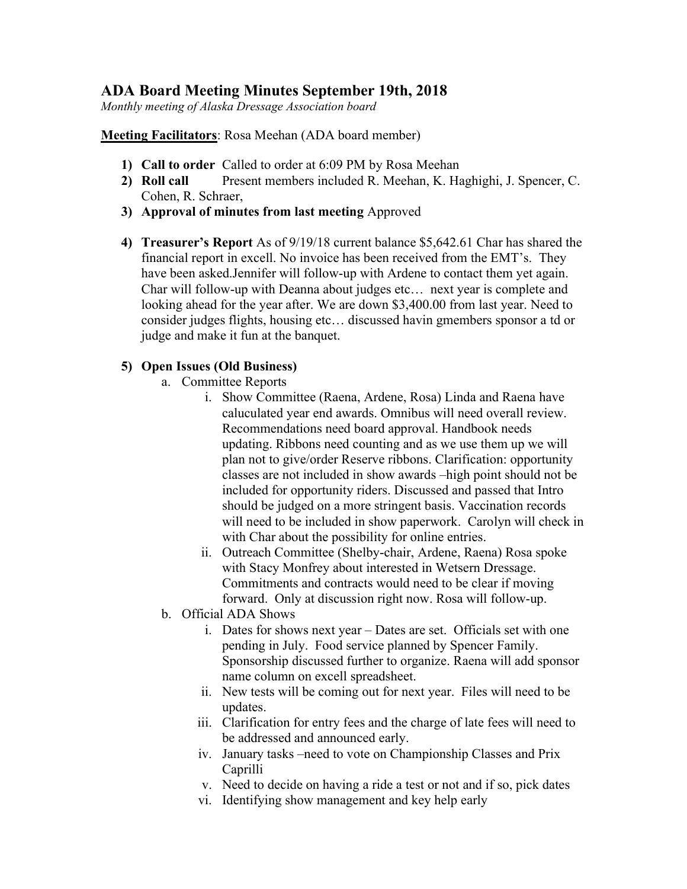## ADA Board Meeting Minutes September 19th, 2018

Monthly meeting of Alaska Dressage Association board

Meeting Facilitators: Rosa Meehan (ADA board member)

- 1) Call to order Called to order at 6:09 PM by Rosa Meehan
- 2) Roll call Present members included R. Meehan, K. Haghighi, J. Spencer, C. Cohen, R. Schraer,
- 3) Approval of minutes from last meeting Approved
- 4) Treasurer's Report As of 9/19/18 current balance \$5,642.61 Char has shared the financial report in excell. No invoice has been received from the EMT's. They have been asked.Jennifer will follow-up with Ardene to contact them yet again. Char will follow-up with Deanna about judges etc… next year is complete and looking ahead for the year after. We are down \$3,400.00 from last year. Need to consider judges flights, housing etc… discussed havin gmembers sponsor a td or judge and make it fun at the banquet.

## 5) Open Issues (Old Business)

- a. Committee Reports
	- i. Show Committee (Raena, Ardene, Rosa) Linda and Raena have caluculated year end awards. Omnibus will need overall review. Recommendations need board approval. Handbook needs updating. Ribbons need counting and as we use them up we will plan not to give/order Reserve ribbons. Clarification: opportunity classes are not included in show awards –high point should not be included for opportunity riders. Discussed and passed that Intro should be judged on a more stringent basis. Vaccination records will need to be included in show paperwork. Carolyn will check in with Char about the possibility for online entries.
	- ii. Outreach Committee (Shelby-chair, Ardene, Raena) Rosa spoke with Stacy Monfrey about interested in Wetsern Dressage. Commitments and contracts would need to be clear if moving forward. Only at discussion right now. Rosa will follow-up.
- b. Official ADA Shows
	- i. Dates for shows next year Dates are set. Officials set with one pending in July. Food service planned by Spencer Family. Sponsorship discussed further to organize. Raena will add sponsor name column on excell spreadsheet.
	- ii. New tests will be coming out for next year. Files will need to be updates.
	- iii. Clarification for entry fees and the charge of late fees will need to be addressed and announced early.
	- iv. January tasks –need to vote on Championship Classes and Prix Caprilli
	- v. Need to decide on having a ride a test or not and if so, pick dates
	- vi. Identifying show management and key help early